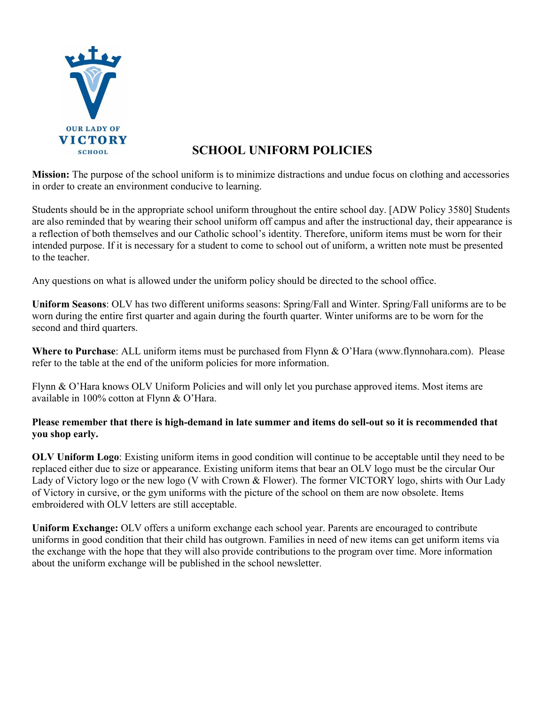

# **SCHOOL UNIFORM POLICIES**

**Mission:** The purpose of the school uniform is to minimize distractions and undue focus on clothing and accessories in order to create an environment conducive to learning.

Students should be in the appropriate school uniform throughout the entire school day. [ADW Policy 3580] Students are also reminded that by wearing their school uniform off campus and after the instructional day, their appearance is a reflection of both themselves and our Catholic school's identity. Therefore, uniform items must be worn for their intended purpose. If it is necessary for a student to come to school out of uniform, a written note must be presented to the teacher.

Any questions on what is allowed under the uniform policy should be directed to the school office.

**Uniform Seasons**: OLV has two different uniforms seasons: Spring/Fall and Winter. Spring/Fall uniforms are to be worn during the entire first quarter and again during the fourth quarter. Winter uniforms are to be worn for the second and third quarters.

**Where to Purchase**: ALL uniform items must be purchased from Flynn & O'Hara (www.flynnohara.com). Please refer to the table at the end of the uniform policies for more information.

Flynn & O'Hara knows OLV Uniform Policies and will only let you purchase approved items. Most items are available in 100% cotton at Flynn & O'Hara.

#### **Please remember that there is high-demand in late summer and items do sell-out so it is recommended that you shop early.**

**OLV Uniform Logo**: Existing uniform items in good condition will continue to be acceptable until they need to be replaced either due to size or appearance. Existing uniform items that bear an OLV logo must be the circular Our Lady of Victory logo or the new logo (V with Crown & Flower). The former VICTORY logo, shirts with Our Lady of Victory in cursive, or the gym uniforms with the picture of the school on them are now obsolete. Items embroidered with OLV letters are still acceptable.

**Uniform Exchange:** OLV offers a uniform exchange each school year. Parents are encouraged to contribute uniforms in good condition that their child has outgrown. Families in need of new items can get uniform items via the exchange with the hope that they will also provide contributions to the program over time. More information about the uniform exchange will be published in the school newsletter.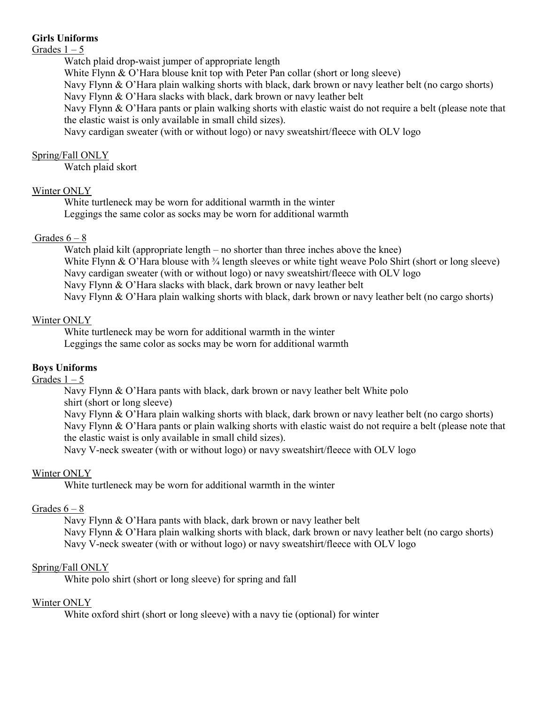#### **Girls Uniforms**

#### Grades  $1 - 5$

Watch plaid drop-waist jumper of appropriate length

White Flynn & O'Hara blouse knit top with Peter Pan collar (short or long sleeve)

Navy Flynn & O'Hara plain walking shorts with black, dark brown or navy leather belt (no cargo shorts)

Navy Flynn & O'Hara slacks with black, dark brown or navy leather belt

Navy Flynn & O'Hara pants or plain walking shorts with elastic waist do not require a belt (please note that the elastic waist is only available in small child sizes).

Navy cardigan sweater (with or without logo) or navy sweatshirt/fleece with OLV logo

### Spring/Fall ONLY

Watch plaid skort

# Winter ONLY

White turtleneck may be worn for additional warmth in the winter Leggings the same color as socks may be worn for additional warmth

# Grades  $6 - 8$

Watch plaid kilt (appropriate length – no shorter than three inches above the knee) White Flynn & O'Hara blouse with  $\frac{3}{4}$  length sleeves or white tight weave Polo Shirt (short or long sleeve) Navy cardigan sweater (with or without logo) or navy sweatshirt/fleece with OLV logo Navy Flynn & O'Hara slacks with black, dark brown or navy leather belt Navy Flynn & O'Hara plain walking shorts with black, dark brown or navy leather belt (no cargo shorts)

# Winter ONLY

White turtleneck may be worn for additional warmth in the winter Leggings the same color as socks may be worn for additional warmth

# **Boys Uniforms**

# Grades  $1 - 5$

Navy Flynn & O'Hara pants with black, dark brown or navy leather belt White polo shirt (short or long sleeve) Navy Flynn & O'Hara plain walking shorts with black, dark brown or navy leather belt (no cargo shorts) Navy Flynn & O'Hara pants or plain walking shorts with elastic waist do not require a belt (please note that the elastic waist is only available in small child sizes). Navy V-neck sweater (with or without logo) or navy sweatshirt/fleece with OLV logo

# Winter ONLY

White turtleneck may be worn for additional warmth in the winter

# Grades  $6 - 8$

Navy Flynn & O'Hara pants with black, dark brown or navy leather belt Navy Flynn & O'Hara plain walking shorts with black, dark brown or navy leather belt (no cargo shorts) Navy V-neck sweater (with or without logo) or navy sweatshirt/fleece with OLV logo

# Spring/Fall ONLY

White polo shirt (short or long sleeve) for spring and fall

# Winter ONLY

White oxford shirt (short or long sleeve) with a navy tie (optional) for winter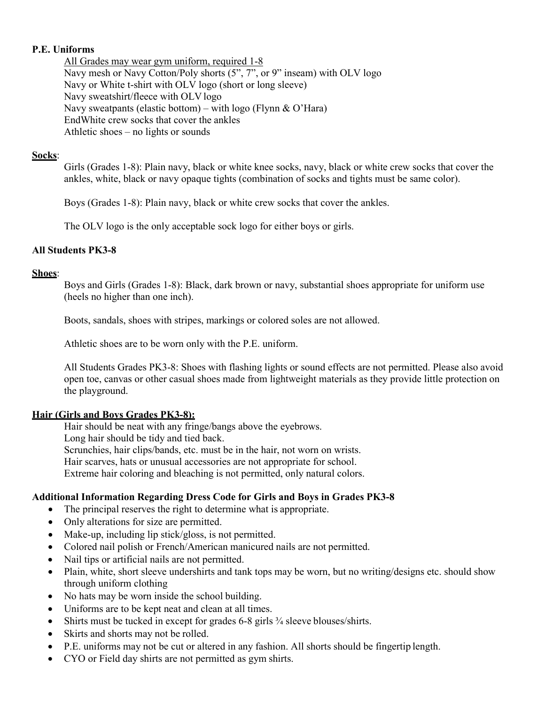#### **P.E. Uniforms**

All Grades may wear gym uniform, required 1-8 Navy mesh or Navy Cotton/Poly shorts (5", 7", or 9" inseam) with OLV logo Navy or White t-shirt with OLV logo (short or long sleeve) Navy sweatshirt/fleece with OLV logo Navy sweatpants (elastic bottom) – with logo (Flynn & O'Hara) EndWhite crew socks that cover the ankles Athletic shoes – no lights or sounds

#### **Socks**:

Girls (Grades 1-8): Plain navy, black or white knee socks, navy, black or white crew socks that cover the ankles, white, black or navy opaque tights (combination of socks and tights must be same color).

Boys (Grades 1-8): Plain navy, black or white crew socks that cover the ankles.

The OLV logo is the only acceptable sock logo for either boys or girls.

#### **All Students PK3-8**

#### **Shoes**:

Boys and Girls (Grades 1-8): Black, dark brown or navy, substantial shoes appropriate for uniform use (heels no higher than one inch).

Boots, sandals, shoes with stripes, markings or colored soles are not allowed.

Athletic shoes are to be worn only with the P.E. uniform.

All Students Grades PK3-8: Shoes with flashing lights or sound effects are not permitted. Please also avoid open toe, canvas or other casual shoes made from lightweight materials as they provide little protection on the playground.

#### **Hair (Girls and Boys Grades PK3-8):**

Hair should be neat with any fringe/bangs above the eyebrows. Long hair should be tidy and tied back. Scrunchies, hair clips/bands, etc. must be in the hair, not worn on wrists. Hair scarves, hats or unusual accessories are not appropriate for school. Extreme hair coloring and bleaching is not permitted, only natural colors.

#### **Additional Information Regarding Dress Code for Girls and Boys in Grades PK3-8**

- The principal reserves the right to determine what is appropriate.
- Only alterations for size are permitted.
- Make-up, including lip stick/gloss, is not permitted.
- Colored nail polish or French/American manicured nails are not permitted.
- Nail tips or artificial nails are not permitted.
- Plain, white, short sleeve undershirts and tank tops may be worn, but no writing/designs etc. should show through uniform clothing
- No hats may be worn inside the school building.
- Uniforms are to be kept neat and clean at all times.
- Shirts must be tucked in except for grades 6-8 girls ¾ sleeve blouses/shirts.
- Skirts and shorts may not be rolled.
- P.E. uniforms may not be cut or altered in any fashion. All shorts should be fingertip length.
- CYO or Field day shirts are not permitted as gym shirts.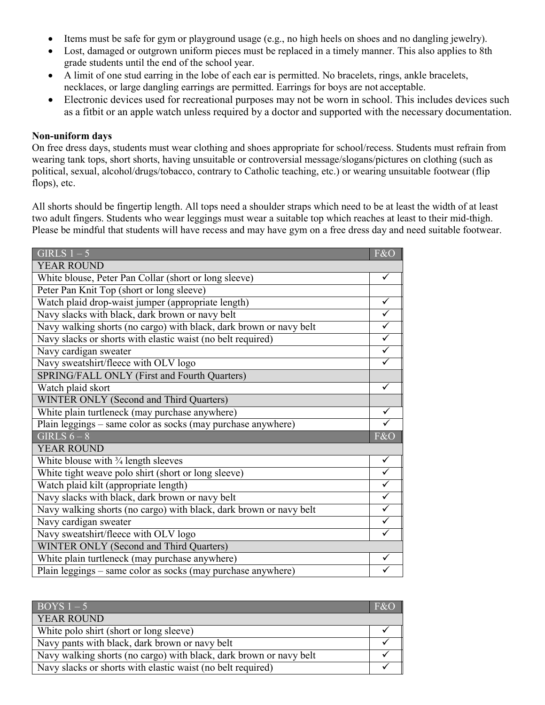- Items must be safe for gym or playground usage (e.g., no high heels on shoes and no dangling jewelry).
- Lost, damaged or outgrown uniform pieces must be replaced in a timely manner. This also applies to 8th grade students until the end of the school year.
- A limit of one stud earring in the lobe of each ear is permitted. No bracelets, rings, ankle bracelets, necklaces, or large dangling earrings are permitted. Earrings for boys are not acceptable.
- Electronic devices used for recreational purposes may not be worn in school. This includes devices such as a fitbit or an apple watch unless required by a doctor and supported with the necessary documentation.

#### **Non-uniform days**

On free dress days, students must wear clothing and shoes appropriate for school/recess. Students must refrain from wearing tank tops, short shorts, having unsuitable or controversial message/slogans/pictures on clothing (such as political, sexual, alcohol/drugs/tobacco, contrary to Catholic teaching, etc.) or wearing unsuitable footwear (flip flops), etc.

All shorts should be fingertip length. All tops need a shoulder straps which need to be at least the width of at least two adult fingers. Students who wear leggings must wear a suitable top which reaches at least to their mid-thigh. Please be mindful that students will have recess and may have gym on a free dress day and need suitable footwear.

| GIRLS $1-5$                                                        | F&O                     |
|--------------------------------------------------------------------|-------------------------|
| <b>YEAR ROUND</b>                                                  |                         |
| White blouse, Peter Pan Collar (short or long sleeve)              | ✓                       |
| Peter Pan Knit Top (short or long sleeve)                          |                         |
| Watch plaid drop-waist jumper (appropriate length)                 |                         |
| Navy slacks with black, dark brown or navy belt                    | $\overline{\checkmark}$ |
| Navy walking shorts (no cargo) with black, dark brown or navy belt | $\checkmark$            |
| Navy slacks or shorts with elastic waist (no belt required)        | $\blacktriangledown$    |
| Navy cardigan sweater                                              |                         |
| Navy sweatshirt/fleece with OLV logo                               |                         |
| SPRING/FALL ONLY (First and Fourth Quarters)                       |                         |
| Watch plaid skort                                                  | $\checkmark$            |
| WINTER ONLY (Second and Third Quarters)                            |                         |
| White plain turtleneck (may purchase anywhere)                     | $\overline{\checkmark}$ |
| Plain leggings - same color as socks (may purchase anywhere)       |                         |
| GIRLS $6-8$                                                        | F&O                     |
| <b>YEAR ROUND</b>                                                  |                         |
| White blouse with $\frac{3}{4}$ length sleeves                     | $\overline{\checkmark}$ |
| White tight weave polo shirt (short or long sleeve)                | $\overline{\checkmark}$ |
| Watch plaid kilt (appropriate length)                              | $\checkmark$            |
| Navy slacks with black, dark brown or navy belt                    | $\overline{\checkmark}$ |
| Navy walking shorts (no cargo) with black, dark brown or navy belt | $\overline{\checkmark}$ |
| Navy cardigan sweater                                              |                         |
| Navy sweatshirt/fleece with OLV logo                               |                         |
| <b>WINTER ONLY (Second and Third Quarters)</b>                     |                         |
| White plain turtleneck (may purchase anywhere)                     |                         |
| Plain leggings – same color as socks (may purchase anywhere)       |                         |

| $\overline{BOYS1-5}$                                               | F&O |
|--------------------------------------------------------------------|-----|
| <b>YEAR ROUND</b>                                                  |     |
| White polo shirt (short or long sleeve)                            |     |
| Navy pants with black, dark brown or navy belt                     |     |
| Navy walking shorts (no cargo) with black, dark brown or navy belt |     |
| Navy slacks or shorts with elastic waist (no belt required)        |     |